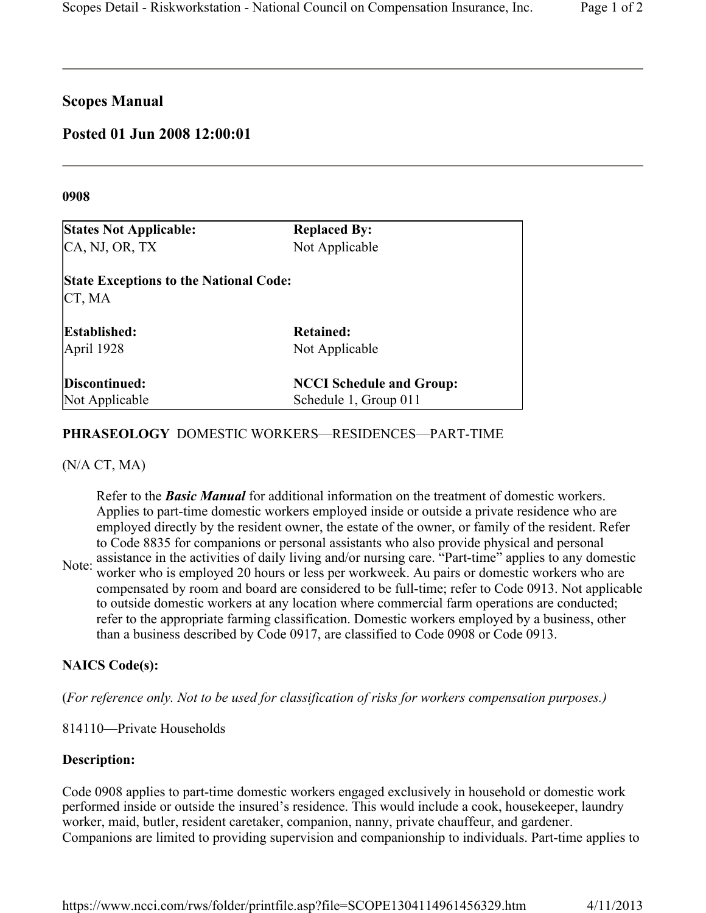# **Scopes Manual**

# **Posted 01 Jun 2008 12:00:01**

#### **0908**

| <b>States Not Applicable:</b>                           | <b>Replaced By:</b>             |
|---------------------------------------------------------|---------------------------------|
| CA, NJ, OR, TX                                          | Not Applicable                  |
| <b>State Exceptions to the National Code:</b><br>CT, MA |                                 |
| Established:                                            | Retained:                       |
| April 1928                                              | Not Applicable                  |
| Discontinued:                                           | <b>NCCI Schedule and Group:</b> |
| Not Applicable                                          | Schedule 1, Group 011           |

# **PHRASEOLOGY** DOMESTIC WORKERS—RESIDENCES—PART-TIME

#### (N/A CT, MA)

Refer to the *Basic Manual* for additional information on the treatment of domestic workers. Applies to part-time domestic workers employed inside or outside a private residence who are employed directly by the resident owner, the estate of the owner, or family of the resident. Refer to Code 8835 for companions or personal assistants who also provide physical and personal

Note: assistance in the activities of daily living and/or nursing care. "Part-time" applies to any domestic worker who is employed 20 hours or less per workweek. Au pairs or domestic workers who are compensated by room and board are considered to be full-time; refer to Code 0913. Not applicable to outside domestic workers at any location where commercial farm operations are conducted; refer to the appropriate farming classification. Domestic workers employed by a business, other than a business described by Code 0917, are classified to Code 0908 or Code 0913.

# **NAICS Code(s):**

(*For reference only. Not to be used for classification of risks for workers compensation purposes.)*

814110—Private Households

# **Description:**

Code 0908 applies to part-time domestic workers engaged exclusively in household or domestic work performed inside or outside the insured's residence. This would include a cook, housekeeper, laundry worker, maid, butler, resident caretaker, companion, nanny, private chauffeur, and gardener. Companions are limited to providing supervision and companionship to individuals. Part-time applies to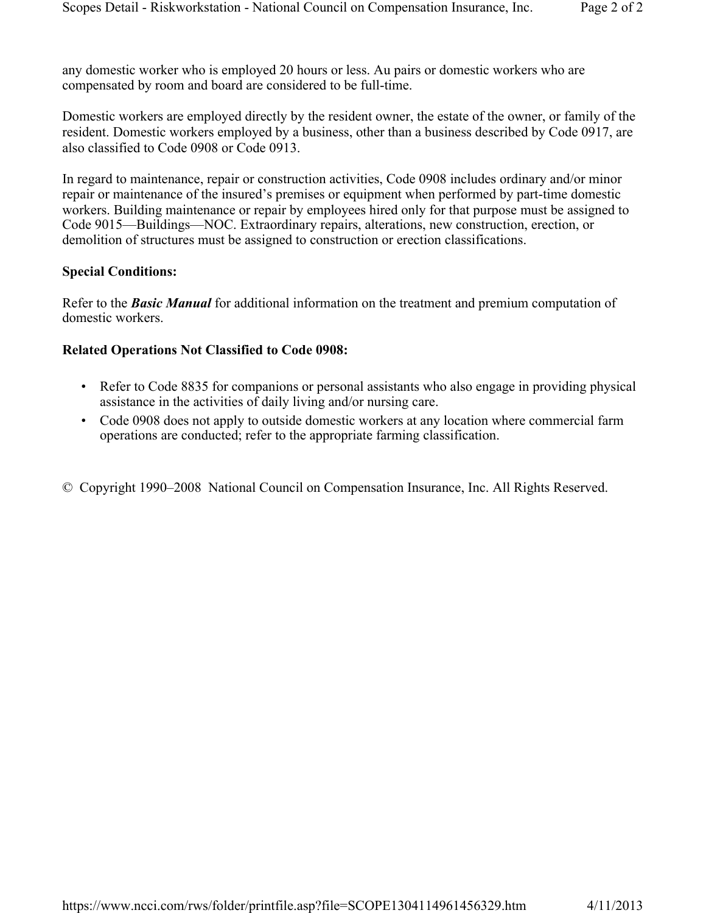any domestic worker who is employed 20 hours or less. Au pairs or domestic workers who are compensated by room and board are considered to be full-time.

Domestic workers are employed directly by the resident owner, the estate of the owner, or family of the resident. Domestic workers employed by a business, other than a business described by Code 0917, are also classified to Code 0908 or Code 0913.

In regard to maintenance, repair or construction activities, Code 0908 includes ordinary and/or minor repair or maintenance of the insured's premises or equipment when performed by part-time domestic workers. Building maintenance or repair by employees hired only for that purpose must be assigned to Code 9015—Buildings—NOC. Extraordinary repairs, alterations, new construction, erection, or demolition of structures must be assigned to construction or erection classifications.

### **Special Conditions:**

Refer to the *Basic Manual* for additional information on the treatment and premium computation of domestic workers.

# **Related Operations Not Classified to Code 0908:**

- Refer to Code 8835 for companions or personal assistants who also engage in providing physical assistance in the activities of daily living and/or nursing care.
- Code 0908 does not apply to outside domestic workers at any location where commercial farm operations are conducted; refer to the appropriate farming classification.
- © Copyright 1990–2008 National Council on Compensation Insurance, Inc. All Rights Reserved.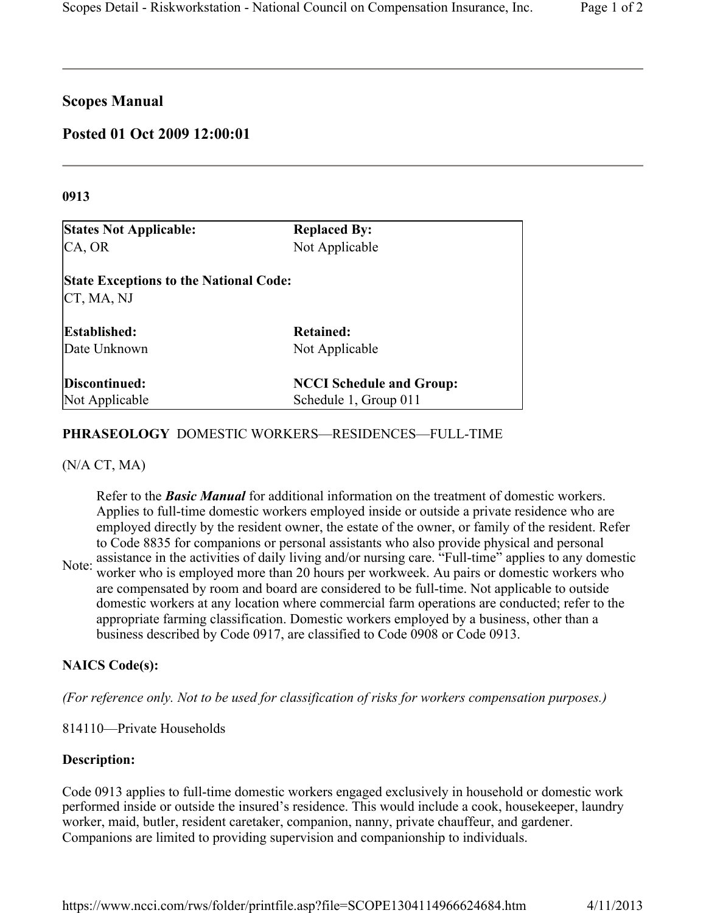# **Scopes Manual**

# **Posted 01 Oct 2009 12:00:01**

### **0913**

| <b>States Not Applicable:</b>                               | <b>Replaced By:</b>             |
|-------------------------------------------------------------|---------------------------------|
| CA, OR                                                      | Not Applicable                  |
| <b>State Exceptions to the National Code:</b><br>CT, MA, NJ |                                 |
| <b>Established:</b>                                         | Retained:                       |
| Date Unknown                                                | Not Applicable                  |
| Discontinued:                                               | <b>NCCI Schedule and Group:</b> |
| Not Applicable                                              | Schedule 1, Group 011           |

# **PHRASEOLOGY** DOMESTIC WORKERS—RESIDENCES—FULL-TIME

# (N/A CT, MA)

Refer to the *Basic Manual* for additional information on the treatment of domestic workers. Applies to full-time domestic workers employed inside or outside a private residence who are employed directly by the resident owner, the estate of the owner, or family of the resident. Refer to Code 8835 for companions or personal assistants who also provide physical and personal

Note: assistance in the activities of daily living and/or nursing care. "Full-time" applies to any domestic worker who is employed more than 20 hours per workweek. Au pairs or domestic workers who are compensated by room and board are considered to be full-time. Not applicable to outside domestic workers at any location where commercial farm operations are conducted; refer to the appropriate farming classification. Domestic workers employed by a business, other than a business described by Code 0917, are classified to Code 0908 or Code 0913.

# **NAICS Code(s):**

*(For reference only. Not to be used for classification of risks for workers compensation purposes.)*

814110—Private Households

# **Description:**

Code 0913 applies to full-time domestic workers engaged exclusively in household or domestic work performed inside or outside the insured's residence. This would include a cook, housekeeper, laundry worker, maid, butler, resident caretaker, companion, nanny, private chauffeur, and gardener. Companions are limited to providing supervision and companionship to individuals.